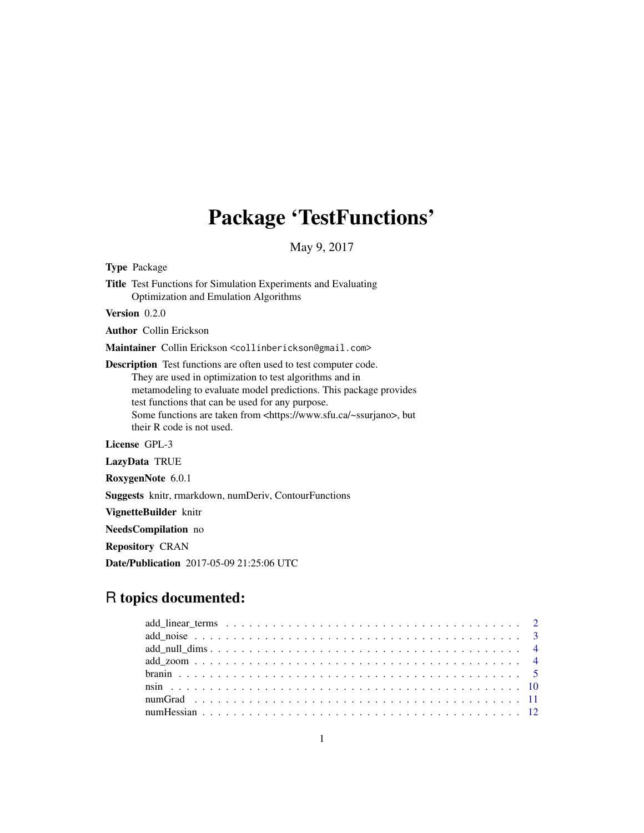## Package 'TestFunctions'

May 9, 2017

Type Package Title Test Functions for Simulation Experiments and Evaluating Optimization and Emulation Algorithms Version 0.2.0 Author Collin Erickson Maintainer Collin Erickson <collinberickson@gmail.com> Description Test functions are often used to test computer code. They are used in optimization to test algorithms and in metamodeling to evaluate model predictions. This package provides test functions that can be used for any purpose. Some functions are taken from <https://www.sfu.ca/~ssurjano>, but their R code is not used. License GPL-3 LazyData TRUE RoxygenNote 6.0.1

Suggests knitr, rmarkdown, numDeriv, ContourFunctions

VignetteBuilder knitr

NeedsCompilation no

Repository CRAN

Date/Publication 2017-05-09 21:25:06 UTC

## R topics documented: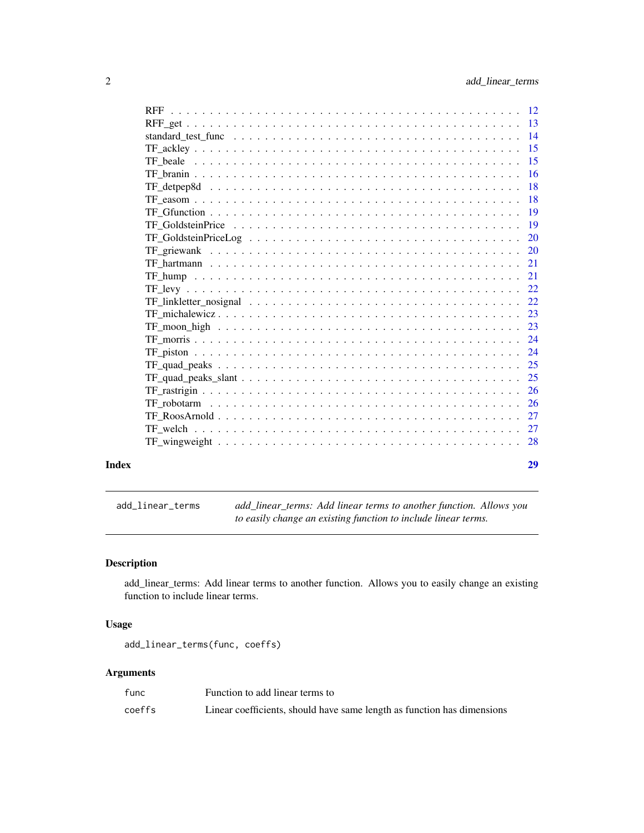<span id="page-1-0"></span>

| Index | 29 |
|-------|----|
|       |    |
|       |    |
|       |    |
|       |    |
|       |    |
|       |    |
|       |    |
|       |    |
|       |    |
|       |    |
|       |    |
|       |    |
|       |    |
|       |    |
|       |    |
|       |    |
|       |    |
|       |    |
|       |    |
|       |    |
|       |    |
|       |    |
|       |    |
|       |    |
|       |    |
|       |    |
|       |    |

add\_linear\_terms *add\_linear\_terms: Add linear terms to another function. Allows you to easily change an existing function to include linear terms.*

## Description

add\_linear\_terms: Add linear terms to another function. Allows you to easily change an existing function to include linear terms.

## Usage

add\_linear\_terms(func, coeffs)

## Arguments

| func   | Function to add linear terms to                                         |
|--------|-------------------------------------------------------------------------|
| coeffs | Linear coefficients, should have same length as function has dimensions |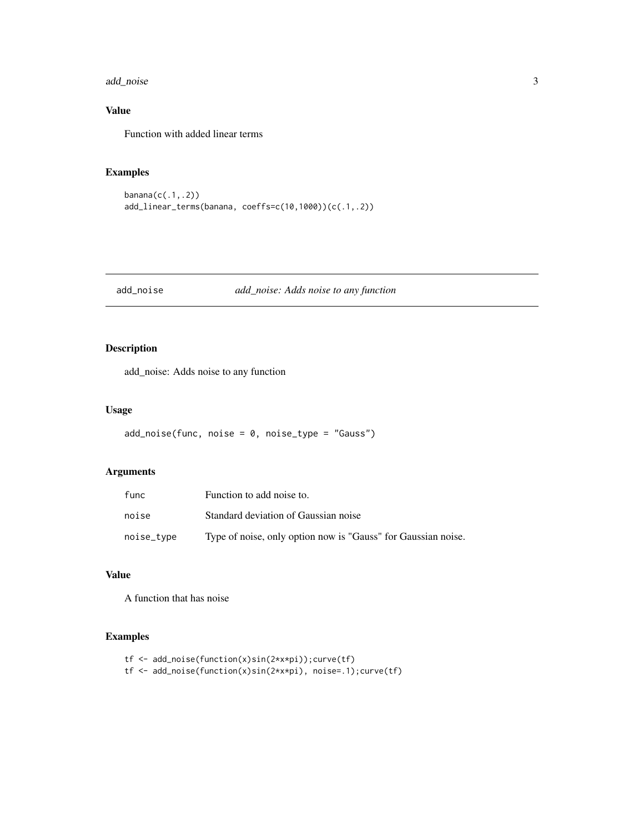<span id="page-2-0"></span>add\_noise 3

## Value

Function with added linear terms

## Examples

banana(c(.1,.2)) add\_linear\_terms(banana, coeffs=c(10,1000))(c(.1,.2))

## add\_noise *add\_noise: Adds noise to any function*

## Description

add\_noise: Adds noise to any function

#### Usage

```
add\_noise(func, noise = 0, noise\_type = "Gauss")
```
## Arguments

| func       | Function to add noise to.                                     |
|------------|---------------------------------------------------------------|
| noise      | Standard deviation of Gaussian noise                          |
| noise_type | Type of noise, only option now is "Gauss" for Gaussian noise. |

#### Value

A function that has noise

## Examples

```
tf <- add_noise(function(x)sin(2*x*pi));curve(tf)
tf <- add_noise(function(x)sin(2*x*pi), noise=.1);curve(tf)
```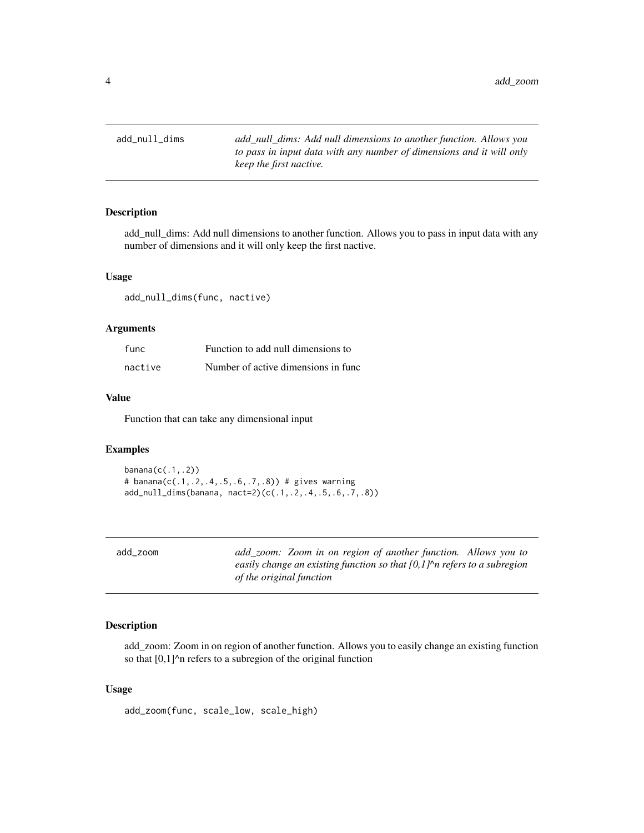<span id="page-3-0"></span>add\_null\_dims *add\_null\_dims: Add null dimensions to another function. Allows you to pass in input data with any number of dimensions and it will only keep the first nactive.*

## Description

add\_null\_dims: Add null dimensions to another function. Allows you to pass in input data with any number of dimensions and it will only keep the first nactive.

## Usage

add\_null\_dims(func, nactive)

## Arguments

| func    | Function to add null dimensions to  |
|---------|-------------------------------------|
| nactive | Number of active dimensions in func |

## Value

Function that can take any dimensional input

#### Examples

```
bannan(c(.1,.2))# banana(c(.1,.2,.4,.5,.6,.7,.8)) # gives warning
add_null_dims(banana, nact=2)(c(.1,.2,.4,.5,.6,.7,.8))
```
add\_zoom *add\_zoom: Zoom in on region of another function. Allows you to easily change an existing function so that [0,1]^n refers to a subregion of the original function*

## Description

add\_zoom: Zoom in on region of another function. Allows you to easily change an existing function so that  $[0,1]$ <sup> $\wedge$ n refers to a subregion of the original function</sup>

#### Usage

add\_zoom(func, scale\_low, scale\_high)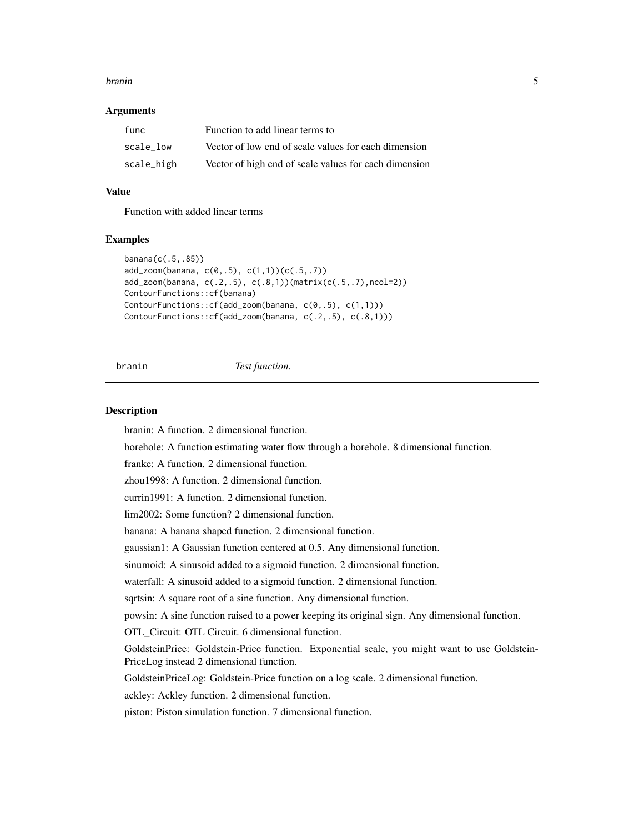#### <span id="page-4-0"></span>branin 5

#### Arguments

| func       | Function to add linear terms to                       |
|------------|-------------------------------------------------------|
| scale low  | Vector of low end of scale values for each dimension  |
| scale_high | Vector of high end of scale values for each dimension |

## Value

Function with added linear terms

#### Examples

```
banana(c(.5,.85))
add_zoom(banana, c(0,.5), c(1,1))(c(.5,.7))
add_zoom(banana, c(.2,.5), c(.8,1))(matrix(c(.5,.7),ncol=2))
ContourFunctions::cf(banana)
ContourFunctions::cf(add_zoom(banana, c(0,.5), c(1,1)))
ContourFunctions::cf(add_zoom(banana, c(.2,.5), c(.8,1)))
```
#### branin *Test function.*

#### Description

branin: A function. 2 dimensional function.

borehole: A function estimating water flow through a borehole. 8 dimensional function.

franke: A function. 2 dimensional function.

zhou1998: A function. 2 dimensional function.

currin1991: A function. 2 dimensional function.

lim2002: Some function? 2 dimensional function.

banana: A banana shaped function. 2 dimensional function.

gaussian1: A Gaussian function centered at 0.5. Any dimensional function.

sinumoid: A sinusoid added to a sigmoid function. 2 dimensional function.

waterfall: A sinusoid added to a sigmoid function. 2 dimensional function.

sqrtsin: A square root of a sine function. Any dimensional function.

powsin: A sine function raised to a power keeping its original sign. Any dimensional function.

OTL\_Circuit: OTL Circuit. 6 dimensional function.

GoldsteinPrice: Goldstein-Price function. Exponential scale, you might want to use Goldstein-PriceLog instead 2 dimensional function.

GoldsteinPriceLog: Goldstein-Price function on a log scale. 2 dimensional function.

ackley: Ackley function. 2 dimensional function.

piston: Piston simulation function. 7 dimensional function.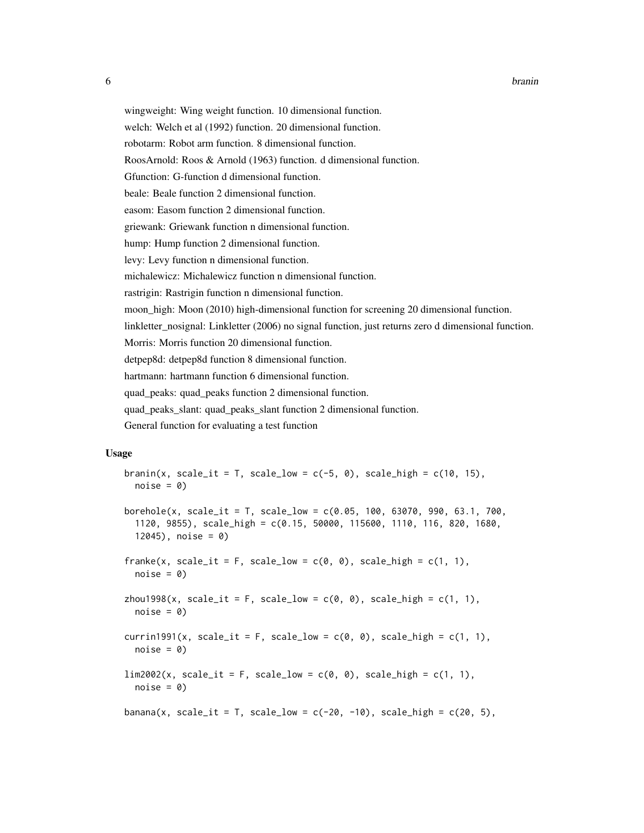wingweight: Wing weight function. 10 dimensional function.

welch: Welch et al (1992) function. 20 dimensional function.

robotarm: Robot arm function. 8 dimensional function.

RoosArnold: Roos & Arnold (1963) function. d dimensional function.

Gfunction: G-function d dimensional function.

beale: Beale function 2 dimensional function.

easom: Easom function 2 dimensional function.

griewank: Griewank function n dimensional function.

hump: Hump function 2 dimensional function.

levy: Levy function n dimensional function.

michalewicz: Michalewicz function n dimensional function.

rastrigin: Rastrigin function n dimensional function.

moon\_high: Moon (2010) high-dimensional function for screening 20 dimensional function.

linkletter\_nosignal: Linkletter (2006) no signal function, just returns zero d dimensional function.

Morris: Morris function 20 dimensional function.

detpep8d: detpep8d function 8 dimensional function.

hartmann: hartmann function 6 dimensional function.

quad\_peaks: quad\_peaks function 2 dimensional function.

quad\_peaks\_slant: quad\_peaks\_slant function 2 dimensional function.

General function for evaluating a test function

#### Usage

```
branin(x, scale_it = T, scale_low = c(-5, 0), scale_high = c(10, 15),
  noise = 0borehole(x, scale_it = T, scale_low = c(0.05, 100, 63070, 990, 63.1, 700,1120, 9855), scale_high = c(0.15, 50000, 115600, 1110, 116, 820, 1680,
  12045), noise = 0)
franke(x, scale_it = F, scale_low = c(0, 0), scale_high = c(1, 1),
  noise = 0zhou1998(x, scale_it = F, scale_low = c(\emptyset, \emptyset), scale_high = c(1, 1),
  noise = 0currin1991(x, scale_it = F, scale_low = c(\theta, \theta), scale_high = c(1, 1),
  noise = 0\lim_{2002(x, scale_i t = F, scale_low = c(0, 0), scale_ligh = c(1, 1),noise = 0banana(x, scale_it = T, scale_low = c(-20, -10), scale_high = c(20, 5),
```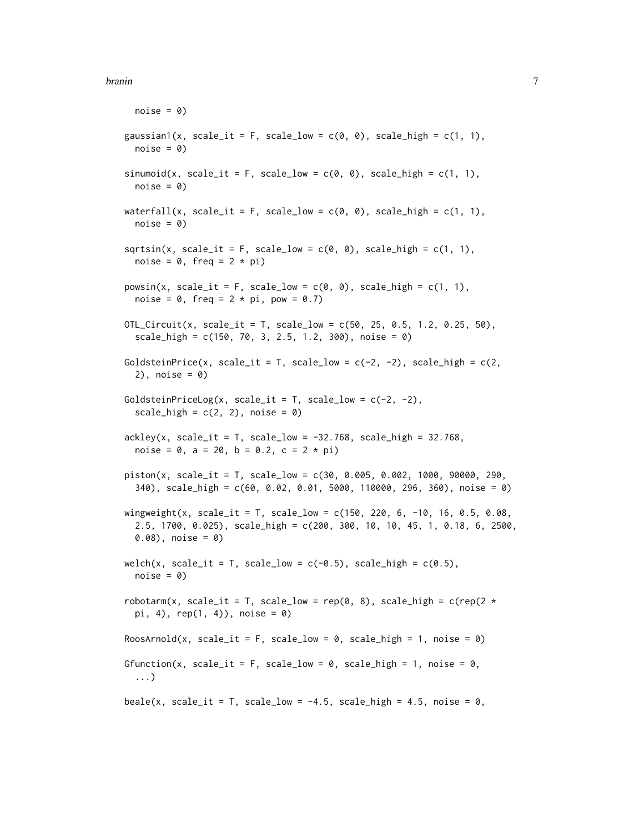#### branin 77 and 2008 and 2008 and 2008 and 2008 and 2008 and 2008 and 2008 and 2008 and 2008 and 2008 and 2008 and 2008 and 2008 and 2008 and 2008 and 2008 and 2008 and 2008 and 2008 and 2008 and 2008 and 2008 and 2008 and 2

```
noise = 0gaussian1(x, scale_it = F, scale_low = c(0, 0), scale_high = c(1, 1),
  noise = 0sinumoid(x, scale_it = F, scale_low = c(0, 0), scale_high = c(1, 1),
  noise = 0waterfall(x, scale_it = F, scale_low = c(\emptyset, \emptyset), scale_high = c(1, 1),
  noise = 0sqrtsin(x, scale_i t = F, scale_low = c(0, 0), scale_high = c(1, 1),noise = 0, freq = 2 * pi)
powsin(x, scale_it = F, scale_low = c(0, 0), scale_high = c(1, 1),noise = 0, freq = 2 * pi, pow = 0.7)
OTL_Circuit(x, scale_it = T, scale_low = c(50, 25, 0.5, 1.2, 0.25, 50),
  scale_high = c(150, 70, 3, 2.5, 1.2, 300), noise = 0)
GoldsteinPrice(x, scale_it = T, scale_low = c(-2, -2), scale_high = c(2, -2)2), noise = 0)
GoldsteinPriceLog(x, scale_it = T, scale_low = c(-2, -2),
  scale_high = c(2, 2), noise = 0)
ackley(x, scale_it = T, scale_low = -32.768, scale_high = 32.768,noise = 0, a = 20, b = 0.2, c = 2 * pi)
piston(x, scale_it = T, scale_low = c(30, 0.005, 0.002, 1000, 90000, 290,340), scale_high = c(60, 0.02, 0.01, 5000, 110000, 296, 360), noise = 0)
wingweight(x, scale_it = T, scale_low = c(150, 220, 6, -10, 16, 0.5, 0.08,2.5, 1700, 0.025), scale_high = c(200, 300, 10, 10, 45, 1, 0.18, 6, 2500,
  0.08), noise = 0)
welch(x, scale_it = T, scale_low = c(-0.5), scale_high = c(0.5),
  noise = 0)
robotarm(x, scale_it = T, scale_low = rep(0, 8), scale_high = c(rep(2 \starpi, 4), rep(1, 4), noise = 0RoosArnold(x, scale_it = F, scale_low = 0, scale_high = 1, noise = 0)
Gfunction(x, scale_it = F, scale_low = 0, scale_high = 1, noise = 0,
  ...)
beale(x, scale_it = T, scale_low = -4.5, scale_high = 4.5, noise = \theta,
```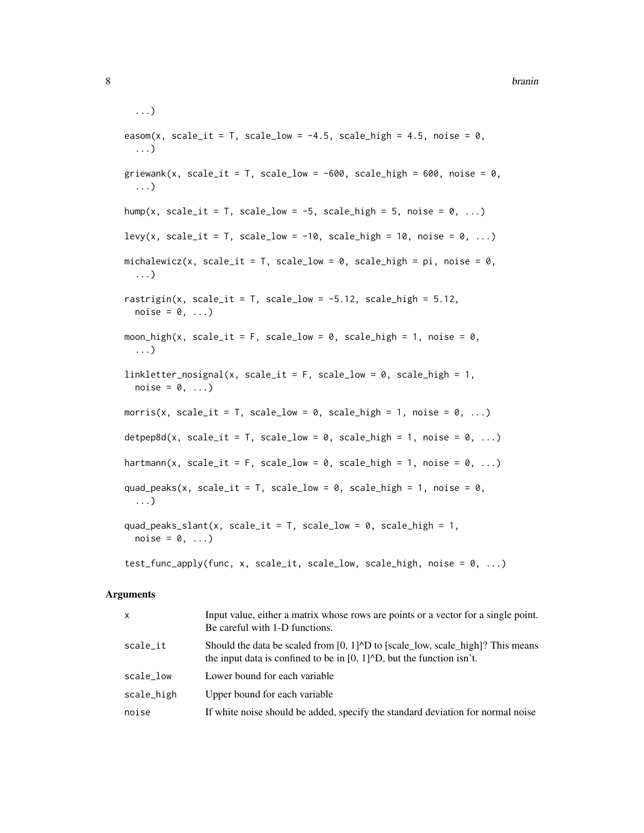```
...)
easom(x, scale_it = T, scale_low = -4.5, scale_high = 4.5, noise = 0,
  ...)
griewank(x, scale_it = T, scale_low = -600, scale_high = 600, noise = 0,
  ...)
hump(x, scale_it = T, scale_low = -5, scale_high = 5, noise = 0, ...)
levy(x, scale_it = T, scale_low = -10, scale_high = 10, noise = 0, ...)
michalewicz(x, scale_it = T, scale_low = 0, scale_high = pi, noise = 0,
  ...)
rastrigin(x, scale_it = T, scale_low = -5.12, scale_high = 5.12,
  noise = 0, \ldots)
moon_high(x, scale_it = F, scale_low = 0, scale_high = 1, noise = 0,
  ...)
linkletter\_nosignal(x, scale_it = F, scale_low = 0, scale_high = 1,noise = 0, \ldots)
morris(x, scale_it = T, scale_low = 0, scale_high = 1, noise = 0, ...)
\text{detpep8d}(x, \text{ scale}_i t = T, \text{ scale}_i w = 0, \text{ scale}_i h = 1, \text{ noise} = 0, \ldots)hartmann(x, scale_it = F, scale_low = 0, scale_high = 1, noise = 0, ...)
quad_peaks(x, scale_it = T, scale_low = 0, scale_high = 1, noise = 0,
  ...)
quad_peaks_slant(x, scale_it = T, scale_low = 0, scale_high = 1,
  noise = 0, \ldots)
test_func_apply(func, x, scale_it, scale_low, scale_high, noise = 0, \ldots)
```
#### Arguments

| $\mathsf{x}$ | Input value, either a matrix whose rows are points or a vector for a single point.<br>Be careful with 1-D functions.                                                                               |
|--------------|----------------------------------------------------------------------------------------------------------------------------------------------------------------------------------------------------|
| scale_it     | Should the data be scaled from $[0, 1]^{\wedge}D$ to [scale_low, scale_high]? This means<br>the input data is confined to be in $[0, 1]$ <sup><math>\wedge</math></sup> D, but the function isn't. |
| scale low    | Lower bound for each variable                                                                                                                                                                      |
| scale_high   | Upper bound for each variable                                                                                                                                                                      |
| noise        | If white noise should be added, specify the standard deviation for normal noise                                                                                                                    |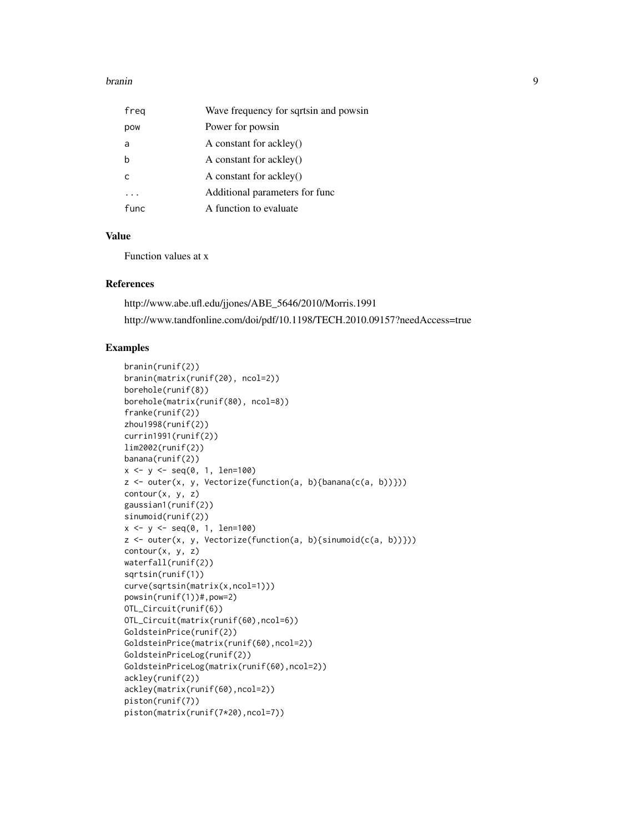#### branin 90 and 1990 and 1990 and 1990 and 1990 and 1990 and 1990 and 1990 and 1990 and 1990 and 1990 and 1990 and 1990 and 1990 and 1990 and 1990 and 1990 and 1990 and 1990 and 1990 and 1990 and 1990 and 1990 and 1990 and 1

| freg | Wave frequency for sqrtsin and powsin |
|------|---------------------------------------|
| pow  | Power for powsin                      |
| a    | A constant for ackley()               |
| b    | A constant for ackley()               |
|      | A constant for ackley()               |
|      | Additional parameters for func        |
| func | A function to evaluate                |

## Value

Function values at x

## References

http://www.abe.ufl.edu/jjones/ABE\_5646/2010/Morris.1991 http://www.tandfonline.com/doi/pdf/10.1198/TECH.2010.09157?needAccess=true

## Examples

```
branin(runif(2))
branin(matrix(runif(20), ncol=2))
borehole(runif(8))
borehole(matrix(runif(80), ncol=8))
franke(runif(2))
zhou1998(runif(2))
currin1991(runif(2))
lim2002(runif(2))
banana(runif(2))
x \le -y \le -\text{seq}(0, 1, \text{ len}=100)z \le outer(x, y, Vectorize(function(a, b){banana(c(a, b))}))
contour(x, y, z)
gaussian1(runif(2))
sinumoid(runif(2))
x \le -y \le -\text{seq}(0, 1, len=100)z <- outer(x, y, Vectorize(function(a, b){sinumoid(c(a, b))}))
contour(x, y, z)
waterfall(runif(2))
sqrtsin(runif(1))
curve(sqrtsin(matrix(x,ncol=1)))
powsin(runif(1))#,pow=2)
OTL_Circuit(runif(6))
OTL_Circuit(matrix(runif(60),ncol=6))
GoldsteinPrice(runif(2))
GoldsteinPrice(matrix(runif(60),ncol=2))
GoldsteinPriceLog(runif(2))
GoldsteinPriceLog(matrix(runif(60),ncol=2))
ackley(runif(2))
ackley(matrix(runif(60),ncol=2))
piston(runif(7))
piston(matrix(runif(7*20),ncol=7))
```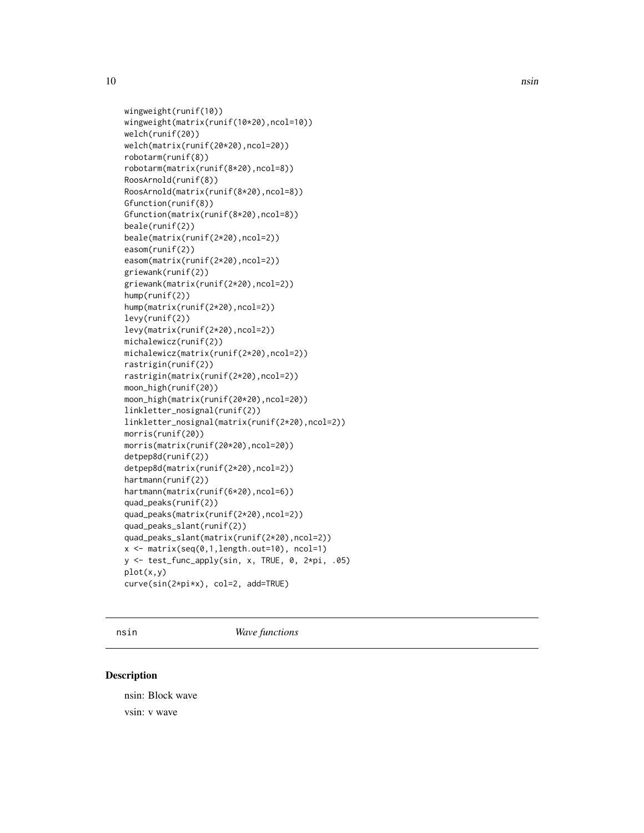<span id="page-9-0"></span>

```
wingweight(runif(10))
wingweight(matrix(runif(10*20),ncol=10))
welch(runif(20))
welch(matrix(runif(20*20),ncol=20))
robotarm(runif(8))
robotarm(matrix(runif(8*20),ncol=8))
RoosArnold(runif(8))
RoosArnold(matrix(runif(8*20),ncol=8))
Gfunction(runif(8))
Gfunction(matrix(runif(8*20),ncol=8))
beale(runif(2))
beale(matrix(runif(2*20),ncol=2))
easom(runif(2))
easom(matrix(runif(2*20),ncol=2))
griewank(runif(2))
griewank(matrix(runif(2*20),ncol=2))
hump(runif(2))
hump(matrix(runif(2*20),ncol=2))
levy(runif(2))
levy(matrix(runif(2*20),ncol=2))
michalewicz(runif(2))
michalewicz(matrix(runif(2*20),ncol=2))
rastrigin(runif(2))
rastrigin(matrix(runif(2*20),ncol=2))
moon_high(runif(20))
moon_high(matrix(runif(20*20),ncol=20))
linkletter_nosignal(runif(2))
linkletter_nosignal(matrix(runif(2*20),ncol=2))
morris(runif(20))
morris(matrix(runif(20*20),ncol=20))
detpep8d(runif(2))
detpep8d(matrix(runif(2*20),ncol=2))
hartmann(runif(2))
hartmann(matrix(runif(6*20),ncol=6))
quad_peaks(runif(2))
quad_peaks(matrix(runif(2*20),ncol=2))
quad_peaks_slant(runif(2))
quad_peaks_slant(matrix(runif(2*20),ncol=2))
x \le - matrix(seq(0,1,length.out=10), ncol=1)
y <- test_func_apply(sin, x, TRUE, 0, 2*pi, .05)
plot(x,y)
curve(sin(2*pi*x), col=2, add=TRUE)
```
nsin *Wave functions*

## Description

nsin: Block wave vsin: v wave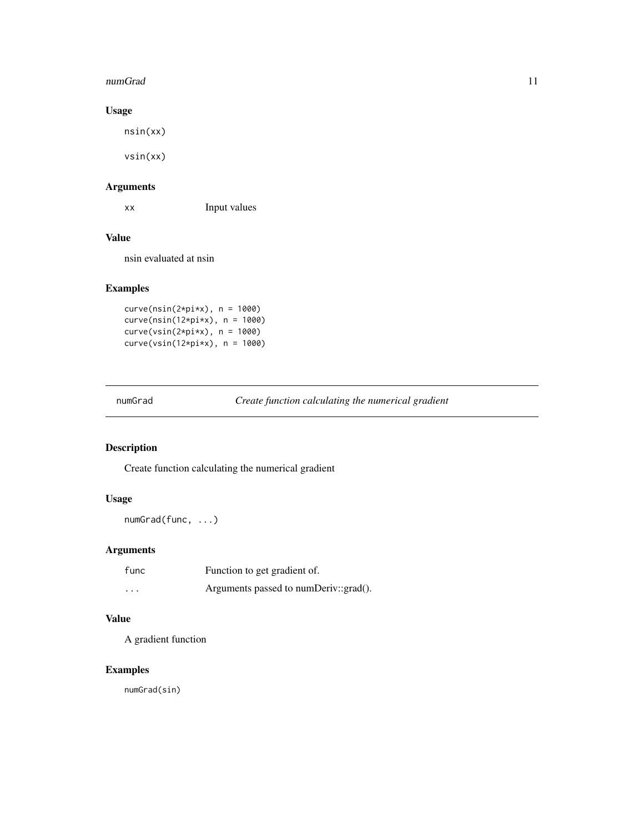#### <span id="page-10-0"></span>numGrad 11

## Usage

nsin(xx)

vsin(xx)

## Arguments

xx Input values

## Value

nsin evaluated at nsin

## Examples

curve(nsin(2\*pi\*x), n = 1000) curve(nsin(12\*pi\*x), n = 1000) curve(vsin(2\*pi\*x), n = 1000) curve(vsin(12\*pi\*x), n = 1000)

numGrad *Create function calculating the numerical gradient*

## Description

Create function calculating the numerical gradient

## Usage

numGrad(func, ...)

## Arguments

| func     | Function to get gradient of.          |
|----------|---------------------------------------|
| $\cdots$ | Arguments passed to numDeriv::grad(). |

## Value

A gradient function

## Examples

numGrad(sin)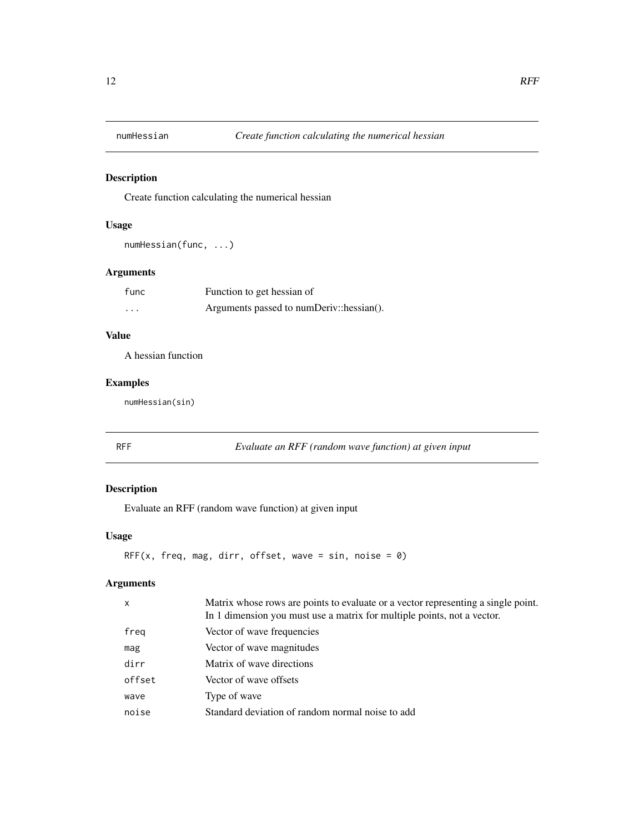<span id="page-11-0"></span>

Create function calculating the numerical hessian

## Usage

numHessian(func, ...)

## Arguments

| func     | Function to get hessian of               |
|----------|------------------------------------------|
| $\cdots$ | Arguments passed to numDeriv::hessian(). |

## Value

A hessian function

## Examples

numHessian(sin)

RFF *Evaluate an RFF (random wave function) at given input*

## Description

Evaluate an RFF (random wave function) at given input

#### Usage

```
RFF(x, freq, mag, dirr, offset, wave = sin, noise = 0)
```
## Arguments

| $\mathsf{x}$ | Matrix whose rows are points to evaluate or a vector representing a single point.<br>In 1 dimension you must use a matrix for multiple points, not a vector. |
|--------------|--------------------------------------------------------------------------------------------------------------------------------------------------------------|
| freq         | Vector of wave frequencies                                                                                                                                   |
| mag          | Vector of wave magnitudes                                                                                                                                    |
| dirr         | Matrix of wave directions                                                                                                                                    |
| offset       | Vector of wave offsets                                                                                                                                       |
| wave         | Type of wave                                                                                                                                                 |
| noise        | Standard deviation of random normal noise to add                                                                                                             |
|              |                                                                                                                                                              |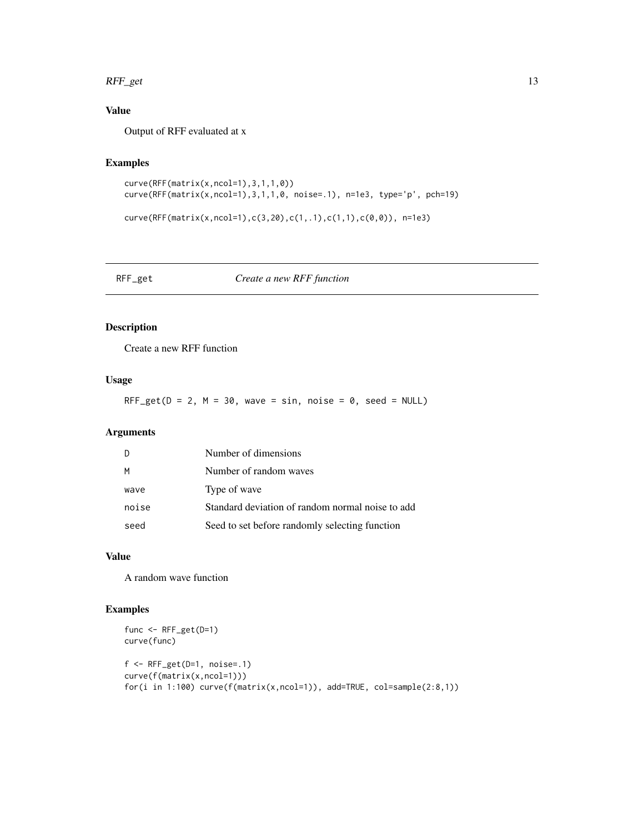#### <span id="page-12-0"></span> $RFF\_get$  13

## Value

Output of RFF evaluated at x

## Examples

```
curve(RFF(matrix(x,ncol=1),3,1,1,0))
curve(RFF(matrix(x,ncol=1),3,1,1,0, noise=.1), n=1e3, type='p', pch=19)
```

```
curve(RFF(matrix(x,ncol=1),c(3,20),c(1,.1),c(1,1),c(0,0)), n=1e3)
```
## RFF\_get *Create a new RFF function*

## Description

Create a new RFF function

#### Usage

RFF\_get( $D = 2$ ,  $M = 30$ , wave = sin, noise = 0, seed = NULL)

## Arguments

| D     | Number of dimensions                             |
|-------|--------------------------------------------------|
| M     | Number of random waves                           |
| wave  | Type of wave                                     |
| noise | Standard deviation of random normal noise to add |
| seed  | Seed to set before randomly selecting function   |

## Value

A random wave function

## Examples

```
func <- RFF_get(D=1)
curve(func)
f \leftarrow RFF_get(D=1, noise=.1)
curve(f(matrix(x,ncol=1)))
for(i in 1:100) curve(f(matrix(x,ncol=1)), add=TRUE, col=sample(2:8,1))
```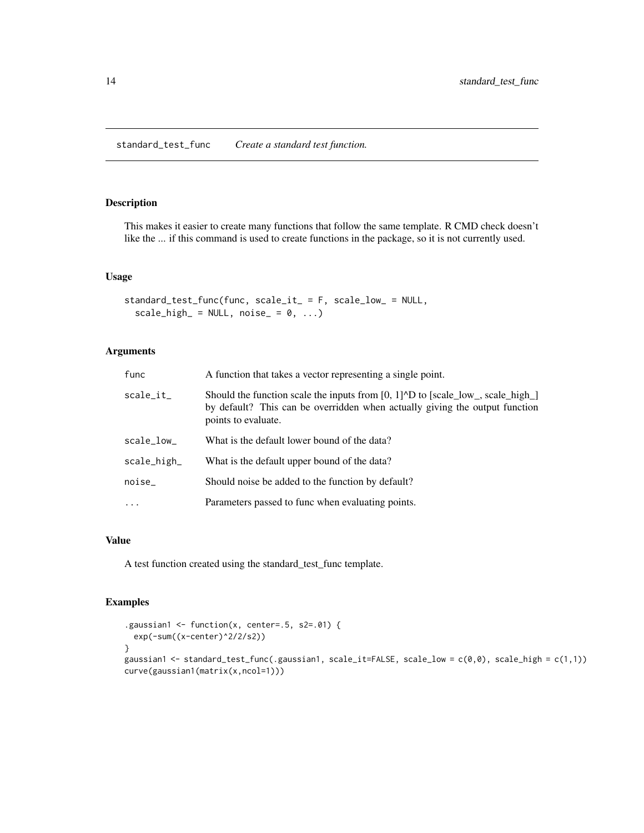<span id="page-13-0"></span>standard\_test\_func *Create a standard test function.*

## Description

This makes it easier to create many functions that follow the same template. R CMD check doesn't like the ... if this command is used to create functions in the package, so it is not currently used.

#### Usage

```
standard_test_func(func, scale_it_ = F, scale_low_ = NULL,
  scale\_high_ = NULL, noise_ = 0, ...
```
## Arguments

| func        | A function that takes a vector representing a single point.                                                                                                                                                                |
|-------------|----------------------------------------------------------------------------------------------------------------------------------------------------------------------------------------------------------------------------|
| scale_it_   | Should the function scale the inputs from $[0, 1]$ <sup><math>\wedge</math></sup> D to $[scale_low_, scale_lhigh_l]$<br>by default? This can be overridden when actually giving the output function<br>points to evaluate. |
| scale_low_  | What is the default lower bound of the data?                                                                                                                                                                               |
| scale_high_ | What is the default upper bound of the data?                                                                                                                                                                               |
| noise_      | Should noise be added to the function by default?                                                                                                                                                                          |
| $\cdot$     | Parameters passed to func when evaluating points.                                                                                                                                                                          |

### Value

A test function created using the standard\_test\_func template.

## Examples

```
.gaussian1 <- function(x, center=.5, s2=.01) {
 exp(-sum((x-center)^2/2/s2))
}
gaussian1 <- standard_test_func(.gaussian1, scale_it=FALSE, scale_low = c(0,0), scale_high = c(1,1))
curve(gaussian1(matrix(x,ncol=1)))
```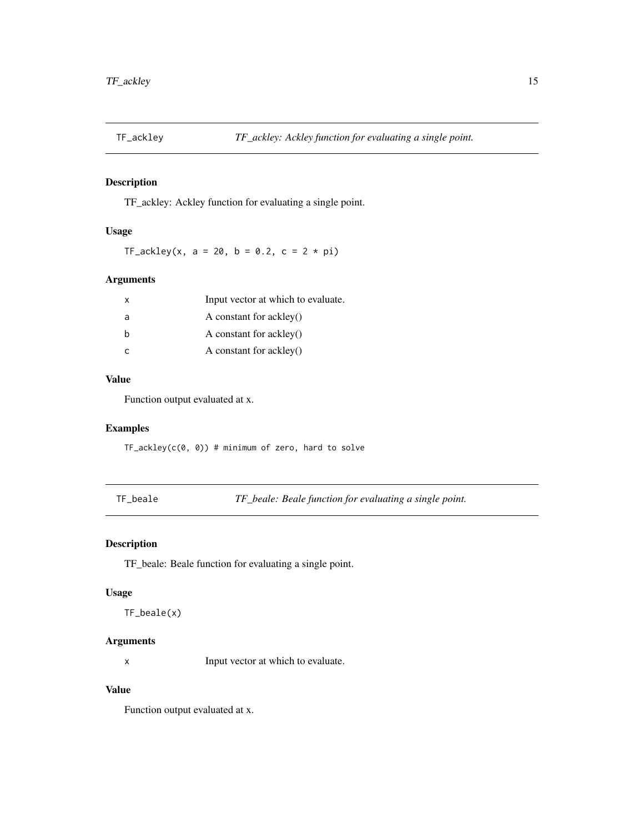<span id="page-14-0"></span>

TF\_ackley: Ackley function for evaluating a single point.

## Usage

TF\_ackley(x, a = 20, b = 0.2, c =  $2 * pi$ )

#### Arguments

| x | Input vector at which to evaluate. |
|---|------------------------------------|
| a | A constant for ackley()            |
| b | A constant for ackley()            |
|   | A constant for ackley()            |

## Value

Function output evaluated at x.

## Examples

 $TF\_{ack}$ ckley(c(0, 0)) # minimum of zero, hard to solve

TF\_beale *TF\_beale: Beale function for evaluating a single point.*

## Description

TF\_beale: Beale function for evaluating a single point.

#### Usage

TF\_beale(x)

## Arguments

x Input vector at which to evaluate.

## Value

Function output evaluated at x.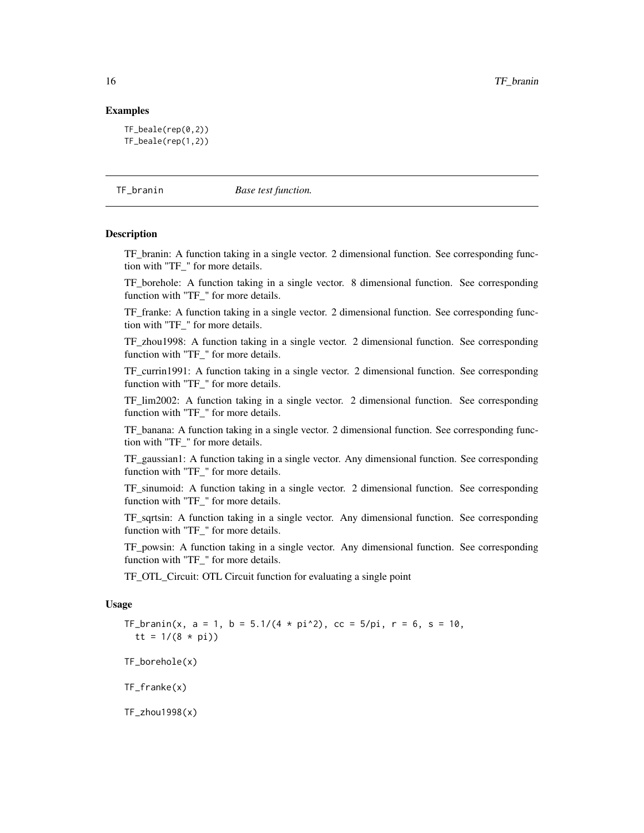#### <span id="page-15-0"></span>Examples

```
TF_beale(rep(0,2))
TF_beale(rep(1,2))
```
TF\_branin *Base test function.*

#### **Description**

TF\_branin: A function taking in a single vector. 2 dimensional function. See corresponding function with "TF\_" for more details.

TF\_borehole: A function taking in a single vector. 8 dimensional function. See corresponding function with "TF\_" for more details.

TF\_franke: A function taking in a single vector. 2 dimensional function. See corresponding function with "TF\_" for more details.

TF\_zhou1998: A function taking in a single vector. 2 dimensional function. See corresponding function with "TF\_" for more details.

TF\_currin1991: A function taking in a single vector. 2 dimensional function. See corresponding function with "TF\_" for more details.

TF lim2002: A function taking in a single vector. 2 dimensional function. See corresponding function with "TF\_" for more details.

TF banana: A function taking in a single vector. 2 dimensional function. See corresponding function with "TF\_" for more details.

TF\_gaussian1: A function taking in a single vector. Any dimensional function. See corresponding function with "TF\_" for more details.

TF\_sinumoid: A function taking in a single vector. 2 dimensional function. See corresponding function with "TF\_" for more details.

TF\_sqrtsin: A function taking in a single vector. Any dimensional function. See corresponding function with "TF\_" for more details.

TF\_powsin: A function taking in a single vector. Any dimensional function. See corresponding function with "TF\_" for more details.

TF\_OTL\_Circuit: OTL Circuit function for evaluating a single point

#### Usage

TF\_branin(x, a = 1, b =  $5.1/(4 * pi^2)$ , cc =  $5/pi$ , r = 6, s = 10, tt =  $1/(8 * pi)$ TF\_borehole(x) TF\_franke(x)

TF\_zhou1998(x)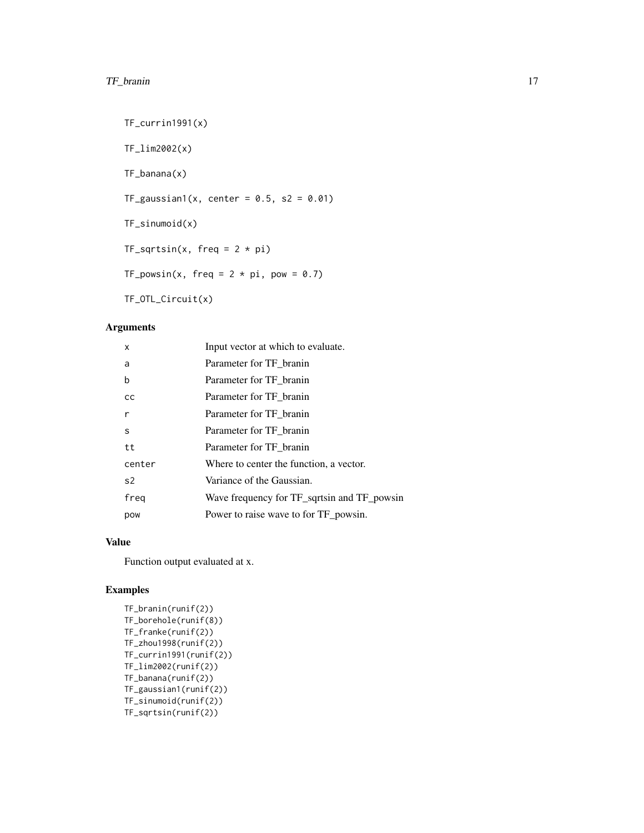## TF\_branin 17

```
TF_currin1991(x)
TF_lim2002(x)
TF_banana(x)
TF_{gaussian1}(x, center = 0.5, s2 = 0.01)TF_sinumoid(x)
TF_sqrtsin(x, freq = 2 * pi)TF_powsin(x, freq = 2 * pi, pow = 0.7)
TF_OTL_Circuit(x)
```
## Arguments

| X              | Input vector at which to evaluate.          |
|----------------|---------------------------------------------|
| a              | Parameter for TF branin                     |
| b              | Parameter for TF branin                     |
| cc             | Parameter for TF branin                     |
| r              | Parameter for TF_branin                     |
| S              | Parameter for TF branin                     |
| tt             | Parameter for TF branin                     |
| center         | Where to center the function, a vector.     |
| s <sub>2</sub> | Variance of the Gaussian.                   |
| freg           | Wave frequency for TF_sqrtsin and TF_powsin |
| pow            | Power to raise wave to for TF powsin.       |

## Value

Function output evaluated at x.

## Examples

```
TF_branin(runif(2))
TF_borehole(runif(8))
TF_franke(runif(2))
TF_zhou1998(runif(2))
TF_currin1991(runif(2))
TF_lim2002(runif(2))
TF_banana(runif(2))
TF_gaussian1(runif(2))
TF_sinumoid(runif(2))
TF_sqrtsin(runif(2))
```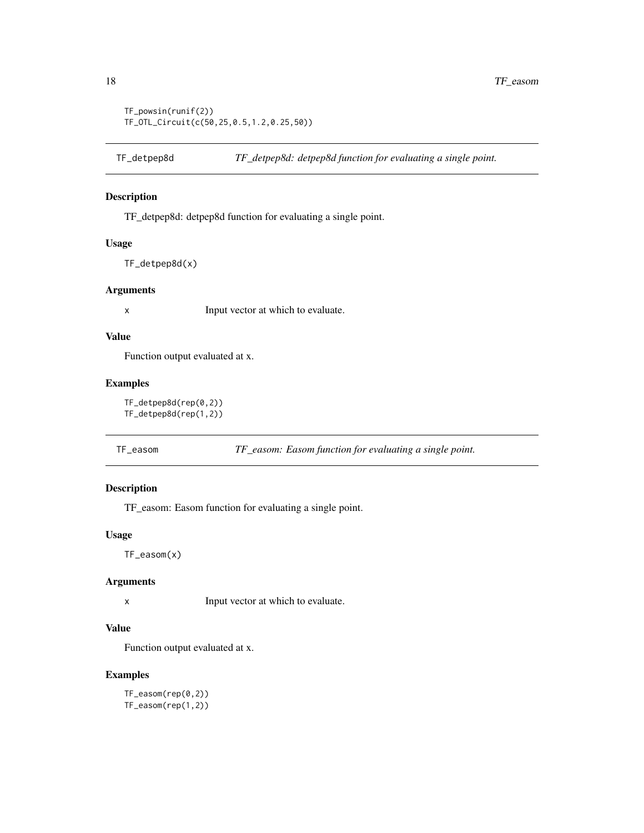```
TF_powsin(runif(2))
TF_OTL_Circuit(c(50,25,0.5,1.2,0.25,50))
```
TF\_detpep8d: detpep8d function for evaluating a single point.

## Usage

TF\_detpep8d(x)

#### Arguments

x Input vector at which to evaluate.

## Value

Function output evaluated at x.

## Examples

TF\_detpep8d(rep(0,2)) TF\_detpep8d(rep(1,2))

TF\_easom *TF\_easom: Easom function for evaluating a single point.*

#### Description

TF\_easom: Easom function for evaluating a single point.

#### Usage

TF\_easom(x)

## Arguments

x Input vector at which to evaluate.

## Value

Function output evaluated at x.

## Examples

TF\_easom(rep(0,2)) TF\_easom(rep(1,2))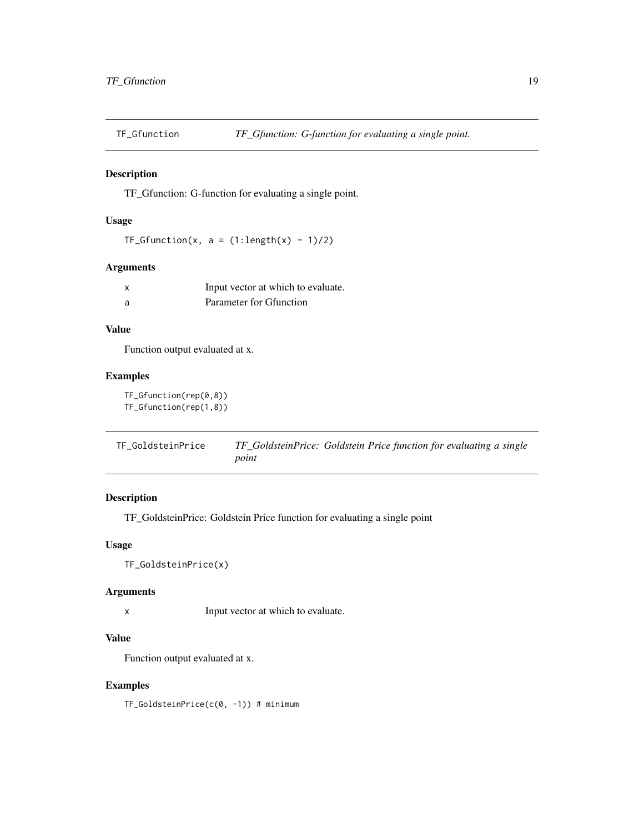<span id="page-18-0"></span>

TF\_Gfunction: G-function for evaluating a single point.

## Usage

```
TF_Gfunction(x, a = (1:length(x) - 1)/2)
```
## Arguments

| x  | Input vector at which to evaluate. |
|----|------------------------------------|
| -a | Parameter for Gfunction            |

## Value

Function output evaluated at x.

## Examples

TF\_Gfunction(rep(0,8)) TF\_Gfunction(rep(1,8))

TF\_GoldsteinPrice *TF\_GoldsteinPrice: Goldstein Price function for evaluating a single point*

## Description

TF\_GoldsteinPrice: Goldstein Price function for evaluating a single point

## Usage

```
TF_GoldsteinPrice(x)
```
#### Arguments

x Input vector at which to evaluate.

#### Value

Function output evaluated at x.

## Examples

TF\_GoldsteinPrice(c(0, -1)) # minimum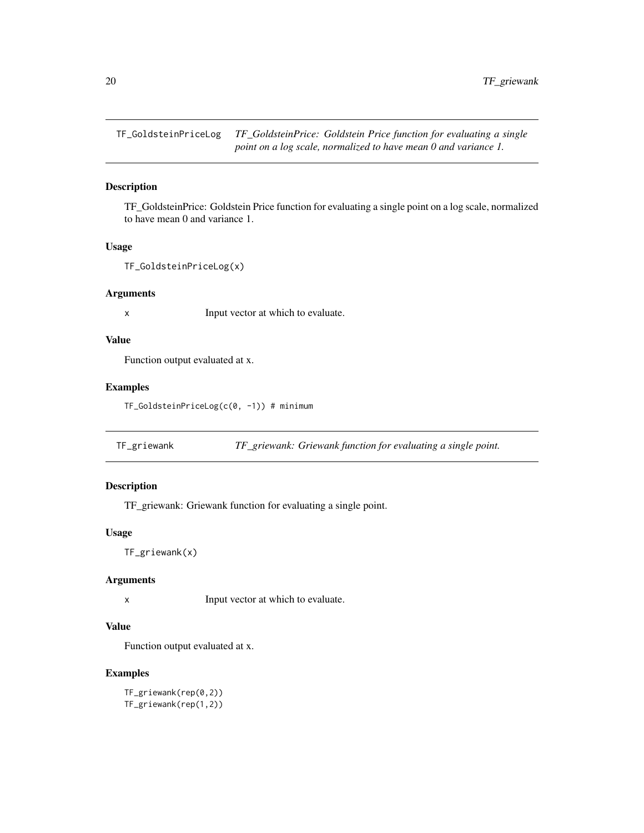<span id="page-19-0"></span>TF\_GoldsteinPriceLog *TF\_GoldsteinPrice: Goldstein Price function for evaluating a single point on a log scale, normalized to have mean 0 and variance 1.*

## Description

TF\_GoldsteinPrice: Goldstein Price function for evaluating a single point on a log scale, normalized to have mean 0 and variance 1.

#### Usage

```
TF_GoldsteinPriceLog(x)
```
#### Arguments

x Input vector at which to evaluate.

## Value

Function output evaluated at x.

## Examples

TF\_GoldsteinPriceLog(c(0, -1)) # minimum

TF\_griewank *TF\_griewank: Griewank function for evaluating a single point.*

## Description

TF\_griewank: Griewank function for evaluating a single point.

#### Usage

TF\_griewank(x)

### Arguments

x Input vector at which to evaluate.

## Value

Function output evaluated at x.

## Examples

TF\_griewank(rep(0,2)) TF\_griewank(rep(1,2))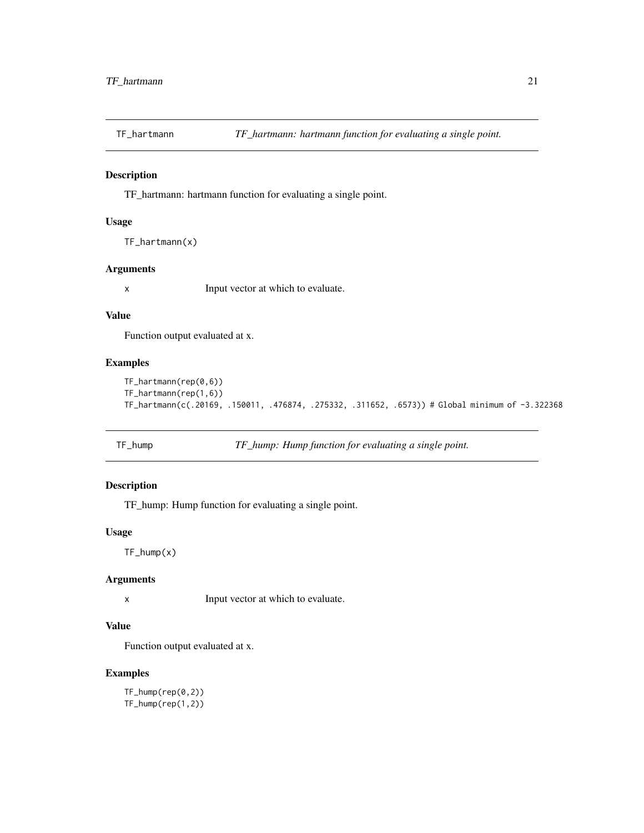<span id="page-20-0"></span>

TF\_hartmann: hartmann function for evaluating a single point.

#### Usage

```
TF_hartmann(x)
```
#### Arguments

x Input vector at which to evaluate.

#### Value

Function output evaluated at x.

## Examples

```
TF_hartmann(rep(0,6))
TF_hartmann(rep(1,6))
TF_hartmann(c(.20169, .150011, .476874, .275332, .311652, .6573)) # Global minimum of -3.322368
```

```
TF_hump TF_hump: Hump function for evaluating a single point.
```
## Description

TF\_hump: Hump function for evaluating a single point.

#### Usage

TF\_hump(x)

### Arguments

x Input vector at which to evaluate.

## Value

Function output evaluated at x.

## Examples

TF\_hump(rep(0,2)) TF\_hump(rep(1,2))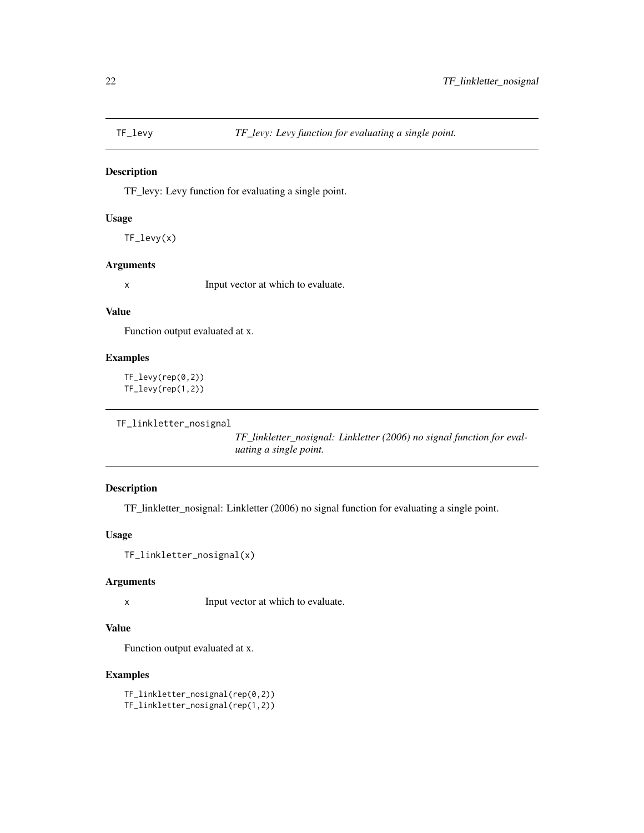<span id="page-21-0"></span>

TF\_levy: Levy function for evaluating a single point.

#### Usage

TF\_levy(x)

## Arguments

x Input vector at which to evaluate.

#### Value

Function output evaluated at x.

## Examples

TF\_levy(rep(0,2)) TF\_levy(rep(1,2))

```
TF_linkletter_nosignal
```
*TF\_linkletter\_nosignal: Linkletter (2006) no signal function for evaluating a single point.*

## Description

TF\_linkletter\_nosignal: Linkletter (2006) no signal function for evaluating a single point.

## Usage

```
TF_linkletter_nosignal(x)
```
## Arguments

x Input vector at which to evaluate.

## Value

Function output evaluated at x.

## Examples

TF\_linkletter\_nosignal(rep(0,2)) TF\_linkletter\_nosignal(rep(1,2))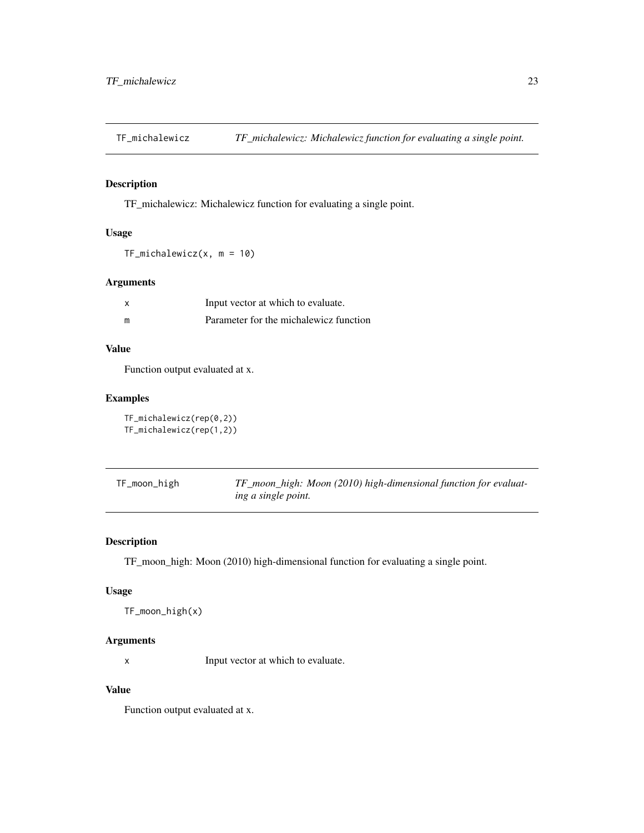<span id="page-22-0"></span>TF\_michalewicz *TF\_michalewicz: Michalewicz function for evaluating a single point.*

## Description

TF\_michalewicz: Michalewicz function for evaluating a single point.

## Usage

TF\_michalewicz(x, m = 10)

## Arguments

| $\boldsymbol{\mathsf{x}}$ | Input vector at which to evaluate.     |
|---------------------------|----------------------------------------|
| m                         | Parameter for the michalewicz function |

#### Value

Function output evaluated at x.

## Examples

TF\_michalewicz(rep(0,2)) TF\_michalewicz(rep(1,2))

| TF_moon_high | TF_moon_high: Moon (2010) high-dimensional function for evaluat- |
|--------------|------------------------------------------------------------------|
|              | ing a single point.                                              |

## Description

TF\_moon\_high: Moon (2010) high-dimensional function for evaluating a single point.

## Usage

```
TF_moon_high(x)
```
#### Arguments

x Input vector at which to evaluate.

## Value

Function output evaluated at x.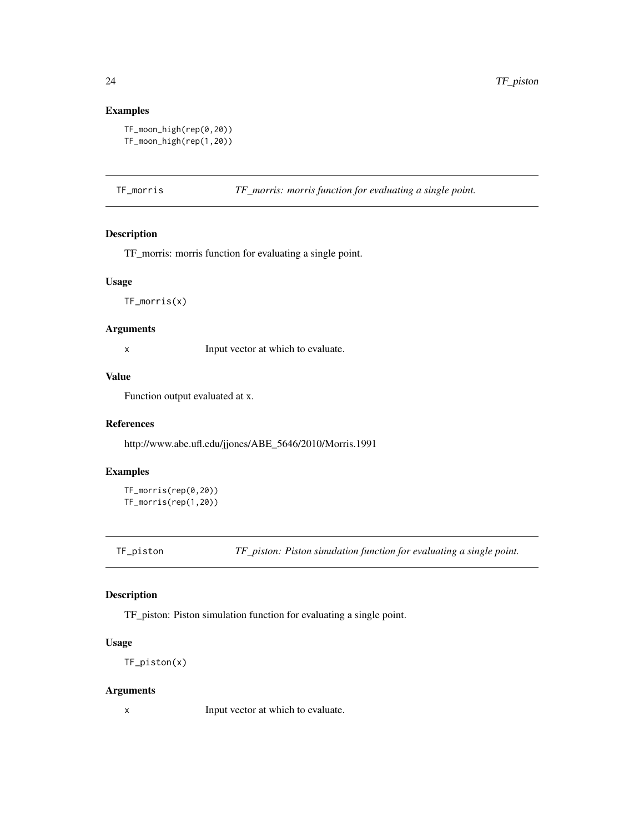## Examples

```
TF_moon_high(rep(0,20))
TF_moon_high(rep(1,20))
```
TF\_morris *TF\_morris: morris function for evaluating a single point.*

## Description

TF\_morris: morris function for evaluating a single point.

#### Usage

TF\_morris(x)

## Arguments

x Input vector at which to evaluate.

## Value

Function output evaluated at x.

#### References

http://www.abe.ufl.edu/jjones/ABE\_5646/2010/Morris.1991

#### Examples

TF\_morris(rep(0,20)) TF\_morris(rep(1,20))

TF\_piston *TF\_piston: Piston simulation function for evaluating a single point.*

## Description

TF\_piston: Piston simulation function for evaluating a single point.

## Usage

TF\_piston(x)

#### Arguments

<span id="page-23-0"></span>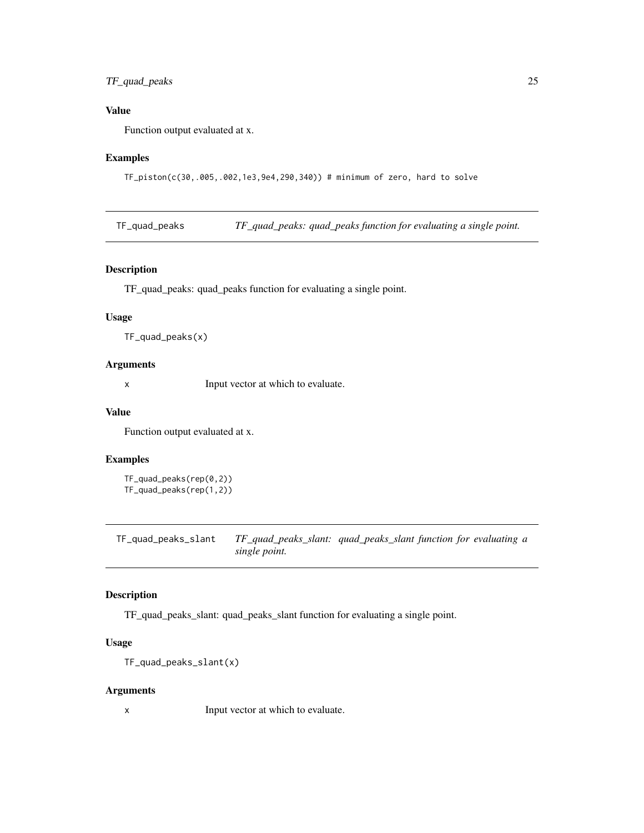## <span id="page-24-0"></span>TF\_quad\_peaks 25

## Value

Function output evaluated at x.

## Examples

TF\_piston(c(30,.005,.002,1e3,9e4,290,340)) # minimum of zero, hard to solve

TF\_quad\_peaks *TF\_quad\_peaks: quad\_peaks function for evaluating a single point.*

#### Description

TF\_quad\_peaks: quad\_peaks function for evaluating a single point.

#### Usage

```
TF_quad_peaks(x)
```
## Arguments

x Input vector at which to evaluate.

## Value

Function output evaluated at x.

#### Examples

```
TF_quad_peaks(rep(0,2))
TF_quad_peaks(rep(1,2))
```
TF\_quad\_peaks\_slant *TF\_quad\_peaks\_slant: quad\_peaks\_slant function for evaluating a single point.*

## Description

TF\_quad\_peaks\_slant: quad\_peaks\_slant function for evaluating a single point.

## Usage

```
TF_quad_peaks_slant(x)
```
#### Arguments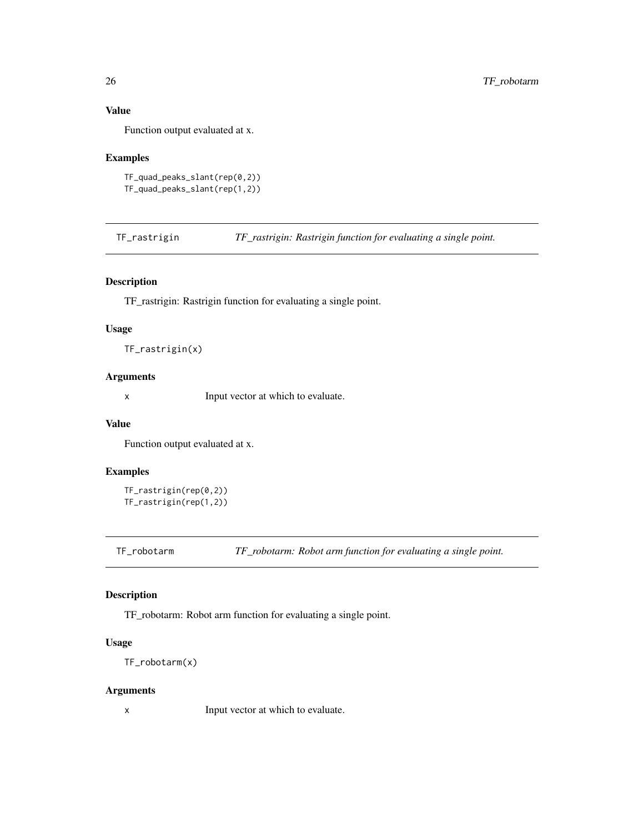## Value

Function output evaluated at x.

## Examples

```
TF_quad_peaks_slant(rep(0,2))
TF_quad_peaks_slant(rep(1,2))
```
TF\_rastrigin *TF\_rastrigin: Rastrigin function for evaluating a single point.*

## Description

TF\_rastrigin: Rastrigin function for evaluating a single point.

#### Usage

TF\_rastrigin(x)

#### Arguments

x Input vector at which to evaluate.

#### Value

Function output evaluated at x.

## Examples

```
TF_rastrigin(rep(0,2))
TF_rastrigin(rep(1,2))
```
TF\_robotarm *TF\_robotarm: Robot arm function for evaluating a single point.*

## Description

TF\_robotarm: Robot arm function for evaluating a single point.

## Usage

TF\_robotarm(x)

#### Arguments

<span id="page-25-0"></span>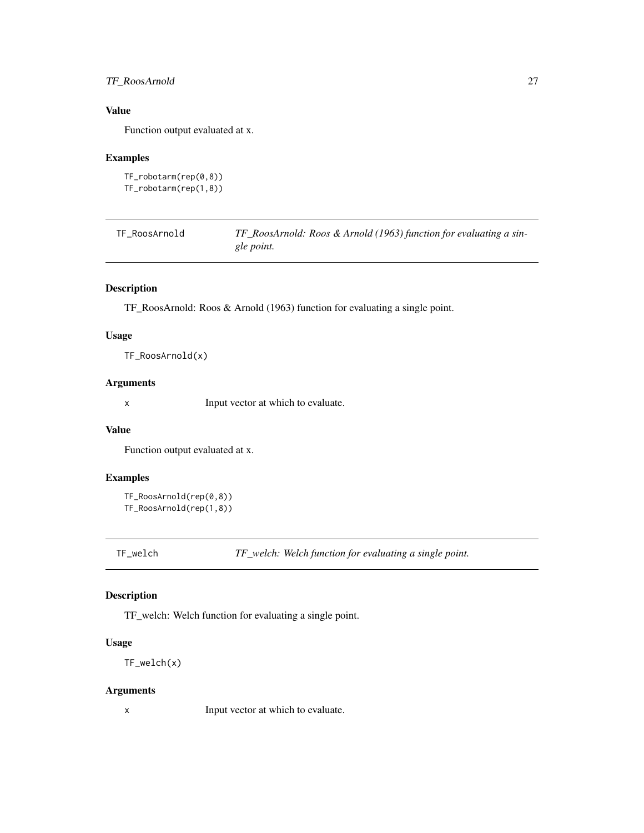## <span id="page-26-0"></span>TF\_RoosArnold 27

## Value

Function output evaluated at x.

## Examples

```
TF_robotarm(rep(0,8))
TF_robotarm(rep(1,8))
```

| TF RoosArnold | TF_RoosArnold: Roos & Arnold (1963) function for evaluating a sin- |
|---------------|--------------------------------------------------------------------|
|               | gle point.                                                         |

## Description

TF\_RoosArnold: Roos & Arnold (1963) function for evaluating a single point.

## Usage

TF\_RoosArnold(x)

## Arguments

x Input vector at which to evaluate.

#### Value

Function output evaluated at x.

## Examples

```
TF_RoosArnold(rep(0,8))
TF_RoosArnold(rep(1,8))
```
TF\_welch *TF\_welch: Welch function for evaluating a single point.*

## Description

TF\_welch: Welch function for evaluating a single point.

#### Usage

TF\_welch(x)

#### Arguments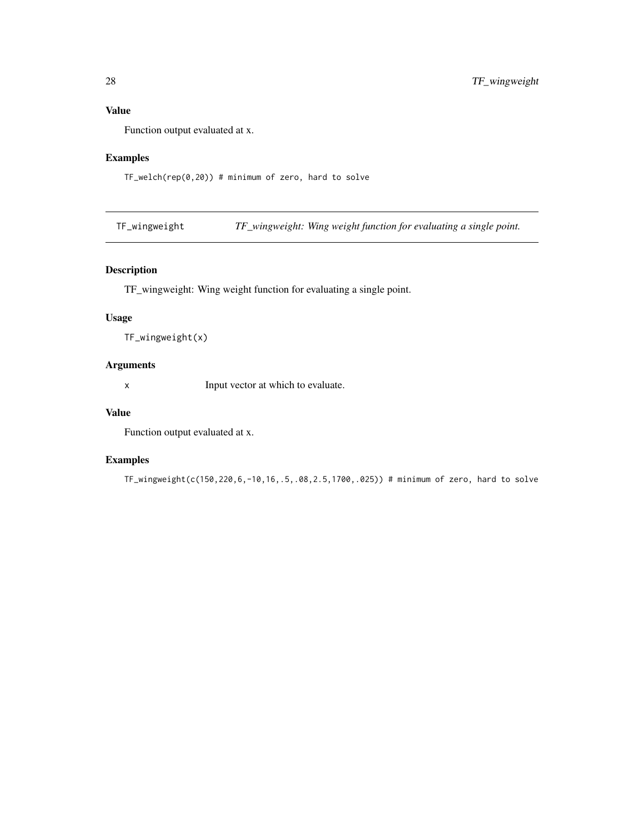## <span id="page-27-0"></span>Value

Function output evaluated at x.

## Examples

TF\_welch(rep(0,20)) # minimum of zero, hard to solve

TF\_wingweight *TF\_wingweight: Wing weight function for evaluating a single point.*

## Description

TF\_wingweight: Wing weight function for evaluating a single point.

## Usage

```
TF_wingweight(x)
```
## Arguments

x Input vector at which to evaluate.

#### Value

Function output evaluated at x.

## Examples

TF\_wingweight(c(150,220,6,-10,16,.5,.08,2.5,1700,.025)) # minimum of zero, hard to solve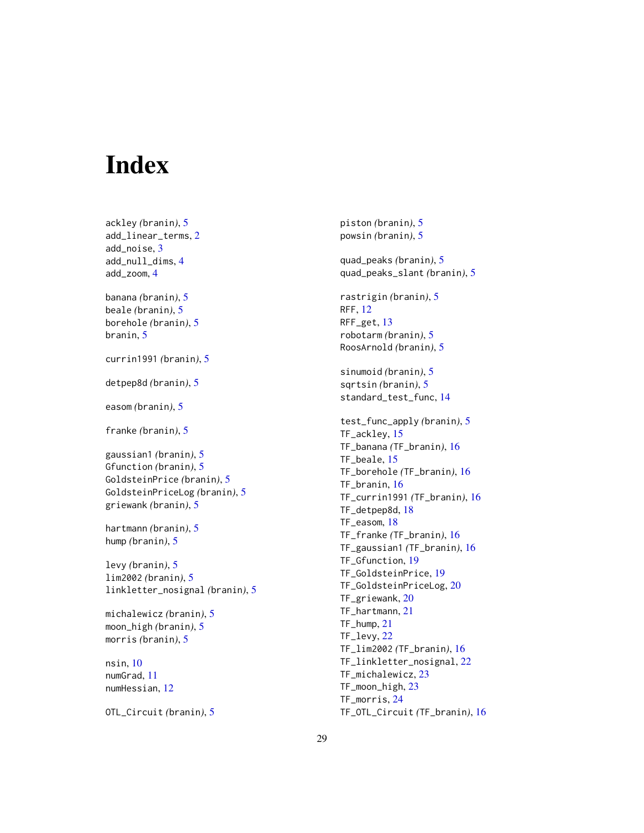# <span id="page-28-0"></span>Index

ackley *(*branin*)*, [5](#page-4-0) add\_linear\_terms, [2](#page-1-0) add\_noise, [3](#page-2-0) add\_null\_dims, [4](#page-3-0) add\_zoom, [4](#page-3-0) banana *(*branin*)*, [5](#page-4-0) beale *(*branin*)*, [5](#page-4-0) borehole *(*branin*)*, [5](#page-4-0) branin, [5](#page-4-0) currin1991 *(*branin*)*, [5](#page-4-0) detpep8d *(*branin*)*, [5](#page-4-0) easom *(*branin*)*, [5](#page-4-0) franke *(*branin*)*, [5](#page-4-0) gaussian1 *(*branin*)*, [5](#page-4-0) Gfunction *(*branin*)*, [5](#page-4-0) GoldsteinPrice *(*branin*)*, [5](#page-4-0) GoldsteinPriceLog *(*branin*)*, [5](#page-4-0) griewank *(*branin*)*, [5](#page-4-0) hartmann *(*branin*)*, [5](#page-4-0) hump *(*branin*)*, [5](#page-4-0) levy *(*branin*)*, [5](#page-4-0) lim2002 *(*branin*)*, [5](#page-4-0) linkletter\_nosignal *(*branin*)*, [5](#page-4-0) michalewicz *(*branin*)*, [5](#page-4-0) moon\_high *(*branin*)*, [5](#page-4-0) morris *(*branin*)*, [5](#page-4-0) nsin, [10](#page-9-0)

numGrad, [11](#page-10-0) numHessian, [12](#page-11-0)

OTL\_Circuit *(*branin*)*, [5](#page-4-0)

piston *(*branin*)*, [5](#page-4-0) powsin *(*branin*)*, [5](#page-4-0) quad\_peaks *(*branin*)*, [5](#page-4-0) quad\_peaks\_slant *(*branin*)*, [5](#page-4-0) rastrigin *(*branin*)*, [5](#page-4-0) RFF, [12](#page-11-0) RFF\_get, [13](#page-12-0) robotarm *(*branin*)*, [5](#page-4-0) RoosArnold *(*branin*)*, [5](#page-4-0) sinumoid *(*branin*)*, [5](#page-4-0) sqrtsin *(*branin*)*, [5](#page-4-0) standard\_test\_func, [14](#page-13-0) test\_func\_apply *(*branin*)*, [5](#page-4-0) TF\_ackley, [15](#page-14-0) TF\_banana *(*TF\_branin*)*, [16](#page-15-0) TF\_beale, [15](#page-14-0) TF\_borehole *(*TF\_branin*)*, [16](#page-15-0) TF\_branin, [16](#page-15-0) TF\_currin1991 *(*TF\_branin*)*, [16](#page-15-0) TF\_detpep8d, [18](#page-17-0) TF\_easom, [18](#page-17-0) TF\_franke *(*TF\_branin*)*, [16](#page-15-0) TF\_gaussian1 *(*TF\_branin*)*, [16](#page-15-0) TF\_Gfunction, [19](#page-18-0) TF\_GoldsteinPrice, [19](#page-18-0) TF\_GoldsteinPriceLog, [20](#page-19-0) TF\_griewank, [20](#page-19-0) TF\_hartmann, [21](#page-20-0) TF\_hump, [21](#page-20-0) TF\_levy, [22](#page-21-0) TF\_lim2002 *(*TF\_branin*)*, [16](#page-15-0) TF\_linkletter\_nosignal, [22](#page-21-0) TF\_michalewicz, [23](#page-22-0) TF\_moon\_high, [23](#page-22-0) TF\_morris, [24](#page-23-0) TF\_OTL\_Circuit *(*TF\_branin*)*, [16](#page-15-0)